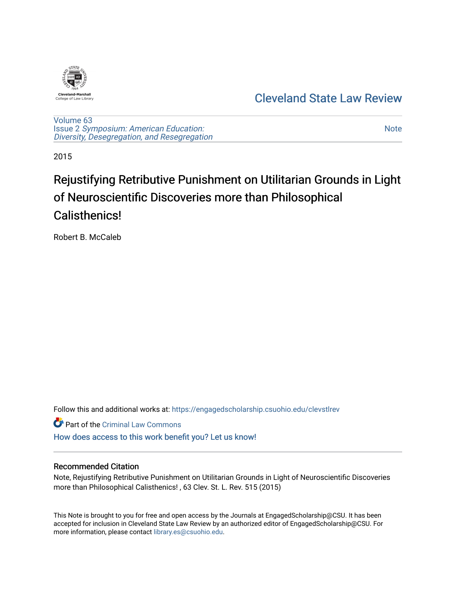

# [Cleveland State Law Review](https://engagedscholarship.csuohio.edu/clevstlrev)

[Volume 63](https://engagedscholarship.csuohio.edu/clevstlrev/vol63) Issue 2 [Symposium: American Education:](https://engagedscholarship.csuohio.edu/clevstlrev/vol63/iss2) [Diversity, Desegregation, and Resegregation](https://engagedscholarship.csuohio.edu/clevstlrev/vol63/iss2)

[Note](https://engagedscholarship.csuohio.edu/clevstlrev/vol63/iss2/13) 

2015

# Rejustifying Retributive Punishment on Utilitarian Grounds in Light of Neuroscientific Discoveries more than Philosophical Calisthenics!

Robert B. McCaleb

Follow this and additional works at: [https://engagedscholarship.csuohio.edu/clevstlrev](https://engagedscholarship.csuohio.edu/clevstlrev?utm_source=engagedscholarship.csuohio.edu%2Fclevstlrev%2Fvol63%2Fiss2%2F13&utm_medium=PDF&utm_campaign=PDFCoverPages)

**C** Part of the Criminal Law Commons

[How does access to this work benefit you? Let us know!](http://library.csuohio.edu/engaged/)

## Recommended Citation

Note, Rejustifying Retributive Punishment on Utilitarian Grounds in Light of Neuroscientific Discoveries more than Philosophical Calisthenics! , 63 Clev. St. L. Rev. 515 (2015)

This Note is brought to you for free and open access by the Journals at EngagedScholarship@CSU. It has been accepted for inclusion in Cleveland State Law Review by an authorized editor of EngagedScholarship@CSU. For more information, please contact [library.es@csuohio.edu](mailto:library.es@csuohio.edu).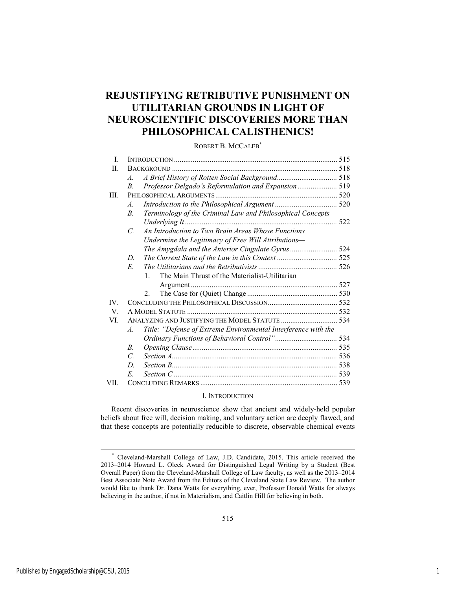## **REJUSTIFYING RETRIBUTIVE PUNISHMENT ON UTILITARIAN GROUNDS IN LIGHT OF NEUROSCIENTIFIC DISCOVERIES MORE THAN PHILOSOPHICAL CALISTHENICS!**

#### ROBERT B. MCCALEB\*

| $\mathbf{I}$ |                                                                                  |  |
|--------------|----------------------------------------------------------------------------------|--|
| П.           |                                                                                  |  |
|              | $\mathcal{A}$ .                                                                  |  |
|              | Professor Delgado's Reformulation and Expansion 519<br>B.                        |  |
| HL.          |                                                                                  |  |
|              | $\mathcal{A}$ .                                                                  |  |
|              | Terminology of the Criminal Law and Philosophical Concepts<br>$\overline{B}$     |  |
|              | Underlying It                                                                    |  |
|              | An Introduction to Two Brain Areas Whose Functions<br>$\mathcal{C}$              |  |
|              | Undermine the Legitimacy of Free Will Attributions-                              |  |
|              |                                                                                  |  |
|              | D                                                                                |  |
|              | E                                                                                |  |
|              | The Main Thrust of the Materialist-Utilitarian<br>$\mathbf{1}$                   |  |
|              |                                                                                  |  |
|              | $2^{\circ}$                                                                      |  |
| IV           |                                                                                  |  |
| V.           |                                                                                  |  |
| VI.          |                                                                                  |  |
|              | Title: "Defense of Extreme Environmental Interference with the<br>$\overline{A}$ |  |
|              |                                                                                  |  |
|              | $\overline{B}$                                                                   |  |
|              | $\mathcal{C}$                                                                    |  |
|              | D                                                                                |  |
|              | E.                                                                               |  |
| VII-         |                                                                                  |  |

#### I. INTRODUCTION

Recent discoveries in neuroscience show that ancient and widely-held popular beliefs about free will, decision making, and voluntary action are deeply flawed, and that these concepts are potentially reducible to discrete, observable chemical events

 <sup>\*</sup> Cleveland-Marshall College of Law, J.D. Candidate, 2015. This article received the 2013–2014 Howard L. Oleck Award for Distinguished Legal Writing by a Student (Best Overall Paper) from the Cleveland-Marshall College of Law faculty, as well as the 2013–2014 Best Associate Note Award from the Editors of the Cleveland State Law Review. The author would like to thank Dr. Dana Watts for everything, ever, Professor Donald Watts for always believing in the author, if not in Materialism, and Caitlin Hill for believing in both.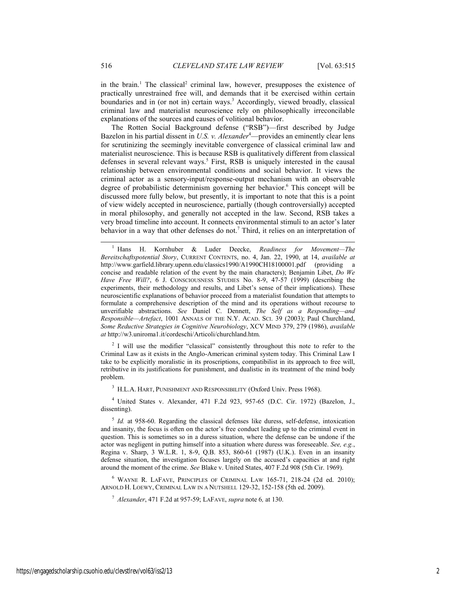in the brain.<sup>1</sup> The classical<sup>2</sup> criminal law, however, presupposes the existence of practically unrestrained free will, and demands that it be exercised within certain boundaries and in (or not in) certain ways.<sup>3</sup> Accordingly, viewed broadly, classical criminal law and materialist neuroscience rely on philosophically irreconcilable explanations of the sources and causes of volitional behavior.

The Rotten Social Background defense ("RSB")—first described by Judge Bazelon in his partial dissent in *U.S. v. Alexander*<sup>4</sup>—provides an eminently clear lens for scrutinizing the seemingly inevitable convergence of classical criminal law and materialist neuroscience. This is because RSB is qualitatively different from classical defenses in several relevant ways.<sup>5</sup> First, RSB is uniquely interested in the causal relationship between environmental conditions and social behavior. It views the criminal actor as a sensory-input/response-output mechanism with an observable degree of probabilistic determinism governing her behavior.<sup>6</sup> This concept will be discussed more fully below, but presently, it is important to note that this is a point of view widely accepted in neuroscience, partially (though controversially) accepted in moral philosophy, and generally not accepted in the law. Second, RSB takes a very broad timeline into account. It connects environmental stimuli to an actor's later behavior in a way that other defenses do not.<sup>7</sup> Third, it relies on an interpretation of

 $\frac{1}{1}$  Hans H. Kornhuber & Luder Deecke, *Readiness for Movement—The Bereitschaftspotential Story*, CURRENT CONTENTS, no. 4, Jan. 22, 1990, at 14, *available at*  http://www.garfield.library.upenn.edu/classics1990/A1990CH18100001.pdf (providing a concise and readable relation of the event by the main characters); Benjamin Libet, *Do We Have Free Will?*, 6 J. CONSCIOUSNESS STUDIES No. 8-9, 47-57 (1999) (describing the experiments, their methodology and results, and Libet's sense of their implications). These neuroscientific explanations of behavior proceed from a materialist foundation that attempts to formulate a comprehensive description of the mind and its operations without recourse to unverifiable abstractions. *See* Daniel C. Dennett, *The Self as a Responding—and Responsible—Artefact*, 1001 ANNALS OF THE N.Y. ACAD. SCI. 39 (2003); Paul Churchland, *Some Reductive Strategies in Cognitive Neurobiology*, XCV MIND 379, 279 (1986), *available at* http://w3.uniroma1.it/cordeschi/Articoli/churchland.htm.

<sup>2</sup> I will use the modifier "classical" consistently throughout this note to refer to the Criminal Law as it exists in the Anglo-American criminal system today. This Criminal Law I take to be explicitly moralistic in its proscriptions, compatibilist in its approach to free will, retributive in its justifications for punishment, and dualistic in its treatment of the mind body problem.

<sup>3</sup> H.L.A. HART, PUNISHMENT AND RESPONSIBILITY (Oxford Univ. Press 1968).

4 United States v. Alexander, 471 F.2d 923, 957-65 (D.C. Cir. 1972) (Bazelon, J., dissenting).

<sup>5</sup> *Id.* at 958-60. Regarding the classical defenses like duress, self-defense, intoxication and insanity, the focus is often on the actor's free conduct leading up to the criminal event in question. This is sometimes so in a duress situation, where the defense can be undone if the actor was negligent in putting himself into a situation where duress was foreseeable. *See, e.g.*, Regina v. Sharp, 3 W.L.R. 1, 8-9, Q.B. 853, 860-61 (1987) (U.K.). Even in an insanity defense situation, the investigation focuses largely on the accused's capacities at and right around the moment of the crime. *See* Blake v. United States, 407 F.2d 908 (5th Cir. 1969).

6 WAYNE R. LAFAVE, PRINCIPLES OF CRIMINAL LAW 165-71, 218-24 (2d ed. 2010); ARNOLD H. LOEWY, CRIMINAL LAW IN A NUTSHELL 129-32, 152-158 (5th ed. 2009).

<sup>7</sup> *Alexander*, 471 F.2d at 957-59; LAFAVE, *supra* note 6*,* at 130.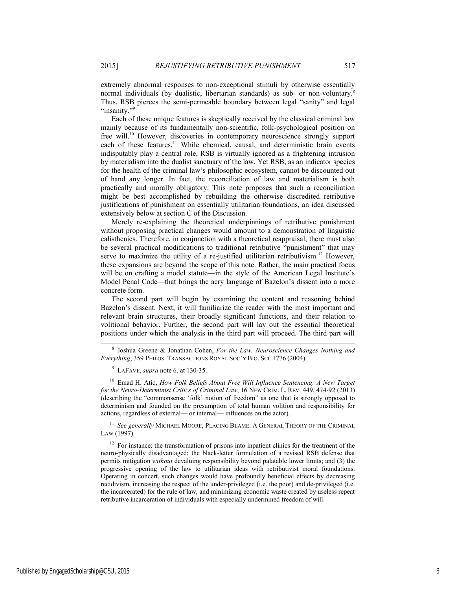extremely abnormal responses to non-exceptional stimuli by otherwise essentially normal individuals (by dualistic, libertarian standards) as sub- or non-voluntary.<sup>8</sup> Thus, RSB pierces the semi-permeable boundary between legal "sanity" and legal "insanity."

Each of these unique features is skeptically received by the classical criminal law mainly because of its fundamentally non-scientific, folk-psychological position on free will.10 However, discoveries in contemporary neuroscience strongly support each of these features.<sup>11</sup> While chemical, causal, and deterministic brain events indisputably play a central role, RSB is virtually ignored as a frightening intrusion by materialism into the dualist sanctuary of the law. Yet RSB, as an indicator species for the health of the criminal law's philosophic ecosystem, cannot be discounted out of hand any longer. In fact, the reconciliation of law and materialism is both practically and morally obligatory. This note proposes that such a reconciliation might be best accomplished by rebuilding the otherwise discredited retributive justifications of punishment on essentially utilitarian foundations, an idea discussed extensively below at section C of the Discussion.

Merely re-explaining the theoretical underpinnings of retributive punishment without proposing practical changes would amount to a demonstration of linguistic calisthenics. Therefore, in conjunction with a theoretical reappraisal, there must also be several practical modifications to traditional retributive "punishment" that may serve to maximize the utility of a re-justified utilitarian retributivism.<sup>12</sup> However, these expansions are beyond the scope of this note. Rather, the main practical focus will be on crafting a model statute—in the style of the American Legal Institute's Model Penal Code—that brings the aery language of Bazelon's dissent into a more concrete form.

The second part will begin by examining the content and reasoning behind Bazelon's dissent. Next, it will familiarize the reader with the most important and relevant brain structures, their broadly significant functions, and their relation to volitional behavior. Further, the second part will lay out the essential theoretical positions under which the analysis in the third part will proceed. The third part will

10 Emad H. Atiq, *How Folk Beliefs About Free Will Influence Sentencing: A New Target for the Neuro-Determinist Critics of Criminal Law*, 16 NEW CRIM. L. REV. 449, 474-92 (2013) (describing the "commonsense 'folk' notion of freedom" as one that is strongly opposed to determinism and founded on the presumption of total human volition and responsibility for actions, regardless of external— or internal— influences on the actor).

<sup>11</sup> See generally MICHAEL MOORE, PLACING BLAME: A GENERAL THEORY OF THE CRIMINAL LAW (1997).

 $12$  For instance: the transformation of prisons into inpatient clinics for the treatment of the neuro-physically disadvantaged; the black-letter formulation of a revised RSB defense that permits mitigation *without* devaluing responsibility beyond palatable lower limits; and (3) the progressive opening of the law to utilitarian ideas with retributivist moral foundations. Operating in concert, such changes would have profoundly beneficial effects by decreasing recidivism, increasing the respect of the under-privileged (i.e. the poor) and de-privileged (i.e. the incarcerated) for the rule of law, and minimizing economic waste created by useless repeat retributive incarceration of individuals with especially undermined freedom of will.

 <sup>8</sup> Joshua Greene & Jonathan Cohen, *For the Law, Neuroscience Changes Nothing and Everything*, 359 PHILOS. TRANSACTIONS ROYAL SOC'Y BIO. SCI. 1776 (2004).

<sup>9</sup> LAFAVE, *supra* note 6, at 130-35.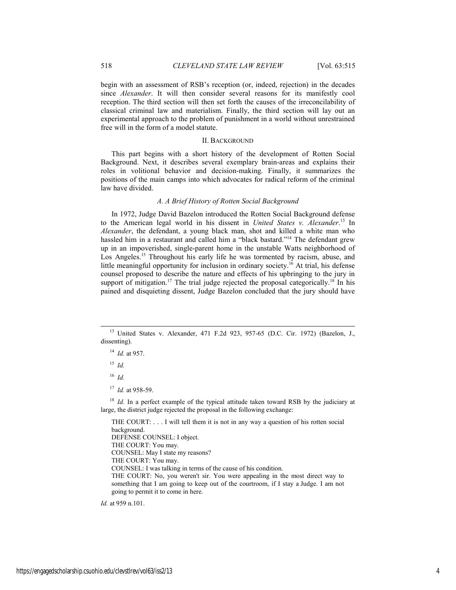begin with an assessment of RSB's reception (or, indeed, rejection) in the decades since *Alexander*. It will then consider several reasons for its manifestly cool reception. The third section will then set forth the causes of the irreconcilability of classical criminal law and materialism. Finally, the third section will lay out an experimental approach to the problem of punishment in a world without unrestrained free will in the form of a model statute.

#### II. BACKGROUND

This part begins with a short history of the development of Rotten Social Background. Next, it describes several exemplary brain-areas and explains their roles in volitional behavior and decision-making. Finally, it summarizes the positions of the main camps into which advocates for radical reform of the criminal law have divided.

#### *A. A Brief History of Rotten Social Background*

In 1972, Judge David Bazelon introduced the Rotten Social Background defense to the American legal world in his dissent in *United States v. Alexander*. 13 In *Alexander*, the defendant, a young black man, shot and killed a white man who hassled him in a restaurant and called him a "black bastard."<sup>14</sup> The defendant grew up in an impoverished, single-parent home in the unstable Watts neighborhood of Los Angeles.<sup>15</sup> Throughout his early life he was tormented by racism, abuse, and little meaningful opportunity for inclusion in ordinary society.16 At trial, his defense counsel proposed to describe the nature and effects of his upbringing to the jury in support of mitigation.<sup>17</sup> The trial judge rejected the proposal categorically.<sup>18</sup> In his pained and disquieting dissent, Judge Bazelon concluded that the jury should have

 $15$  *Id.* 

 $16$  *Id.* 

<sup>17</sup> *Id.* at 958-59.

<sup>18</sup> *Id.* In a perfect example of the typical attitude taken toward RSB by the judiciary at large, the district judge rejected the proposal in the following exchange:

THE COURT: . . . I will tell them it is not in any way a question of his rotten social background. DEFENSE COUNSEL: I object. THE COURT: You may. COUNSEL: May I state my reasons? THE COURT: You may. COUNSEL: I was talking in terms of the cause of his condition. THE COURT: No, you weren't sir. You were appealing in the most direct way to something that I am going to keep out of the courtroom, if I stay a Judge. I am not going to permit it to come in here.

*Id.* at 959 n.101.

 <sup>13</sup> United States v. Alexander, 471 F.2d 923, 957-65 (D.C. Cir. 1972) (Bazelon, J., dissenting).

<sup>14</sup> *Id.* at 957.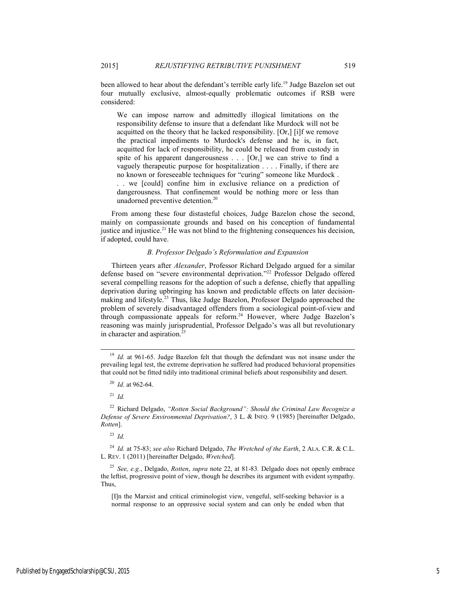been allowed to hear about the defendant's terrible early life.<sup>19</sup> Judge Bazelon set out four mutually exclusive, almost-equally problematic outcomes if RSB were considered:

We can impose narrow and admittedly illogical limitations on the responsibility defense to insure that a defendant like Murdock will not be acquitted on the theory that he lacked responsibility. [Or,] [i]f we remove the practical impediments to Murdock's defense and he is, in fact, acquitted for lack of responsibility, he could be released from custody in spite of his apparent dangerousness . . . [Or,] we can strive to find a vaguely therapeutic purpose for hospitalization . . . . Finally, if there are no known or foreseeable techniques for "curing" someone like Murdock . . . we [could] confine him in exclusive reliance on a prediction of

dangerousness. That confinement would be nothing more or less than unadorned preventive detention.<sup>20</sup>

From among these four distasteful choices, Judge Bazelon chose the second, mainly on compassionate grounds and based on his conception of fundamental justice and injustice.<sup>21</sup> He was not blind to the frightening consequences his decision, if adopted, could have.

#### *B. Professor Delgado's Reformulation and Expansion*

Thirteen years after *Alexander*, Professor Richard Delgado argued for a similar defense based on "severe environmental deprivation."<sup>22</sup> Professor Delgado offered several compelling reasons for the adoption of such a defense, chiefly that appalling deprivation during upbringing has known and predictable effects on later decisionmaking and lifestyle.23 Thus, like Judge Bazelon, Professor Delgado approached the problem of severely disadvantaged offenders from a sociological point-of-view and through compassionate appeals for reform.24 However, where Judge Bazelon's reasoning was mainly jurisprudential, Professor Delgado's was all but revolutionary in character and aspiration.<sup>25</sup>

<sup>21</sup> *Id.*

22 Richard Delgado, *"Rotten Social Background": Should the Criminal Law Recognize a Defense of Severe Environmental Deprivation?*, 3 L. & INEQ. 9 (1985) [hereinafter Delgado, *Rotten*].

 $^{23}$  *Id.* 

<sup>24</sup> *Id.* at 75-83; *see also* Richard Delgado, *The Wretched of the Earth*, 2 ALA. C.R. & C.L. L. REV. 1 (2011) [hereinafter Delgado, *Wretched*].

<sup>25</sup> *See, e.g.*, Delgado, *Rotten*, *supra* note 22, at 81-83*.* Delgado does not openly embrace the leftist, progressive point of view, though he describes its argument with evident sympathy. Thus,

[I]n the Marxist and critical criminologist view, vengeful, self-seeking behavior is a normal response to an oppressive social system and can only be ended when that

<sup>&</sup>lt;sup>19</sup> *Id.* at 961-65. Judge Bazelon felt that though the defendant was not insane under the prevailing legal test, the extreme deprivation he suffered had produced behavioral propensities that could not be fitted tidily into traditional criminal beliefs about responsibility and desert.

<sup>20</sup> *Id.* at 962-64.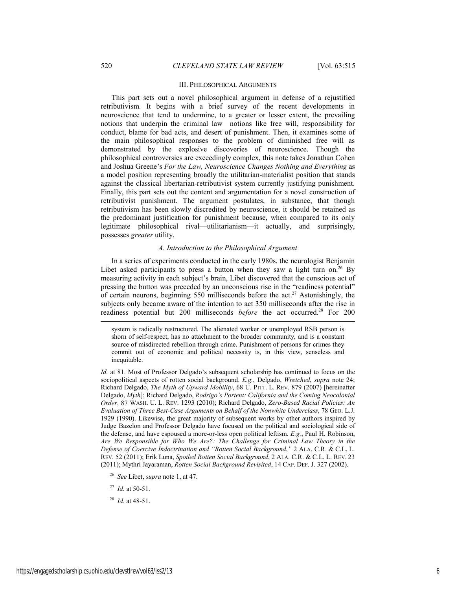#### III. PHILOSOPHICAL ARGUMENTS

This part sets out a novel philosophical argument in defense of a rejustified retributivism. It begins with a brief survey of the recent developments in neuroscience that tend to undermine, to a greater or lesser extent, the prevailing notions that underpin the criminal law—notions like free will, responsibility for conduct, blame for bad acts, and desert of punishment. Then, it examines some of the main philosophical responses to the problem of diminished free will as demonstrated by the explosive discoveries of neuroscience. Though the philosophical controversies are exceedingly complex, this note takes Jonathan Cohen and Joshua Greene's *For the Law, Neuroscience Changes Nothing and Everything* as a model position representing broadly the utilitarian-materialist position that stands against the classical libertarian-retributivist system currently justifying punishment. Finally, this part sets out the content and argumentation for a novel construction of retributivist punishment. The argument postulates, in substance, that though retributivism has been slowly discredited by neuroscience, it should be retained as the predominant justification for punishment because, when compared to its only legitimate philosophical rival—utilitarianism—it actually, and surprisingly, possesses *greater* utility.

#### *A. Introduction to the Philosophical Argument*

In a series of experiments conducted in the early 1980s, the neurologist Benjamin Libet asked participants to press a button when they saw a light turn on.<sup>26</sup> By measuring activity in each subject's brain, Libet discovered that the conscious act of pressing the button was preceded by an unconscious rise in the "readiness potential" of certain neurons, beginning 550 milliseconds before the act.27 Astonishingly, the subjects only became aware of the intention to act 350 milliseconds after the rise in readiness potential but 200 milliseconds *before* the act occurred.28 For 200

system is radically restructured. The alienated worker or unemployed RSB person is shorn of self-respect, has no attachment to the broader community, and is a constant source of misdirected rebellion through crime. Punishment of persons for crimes they commit out of economic and political necessity is, in this view, senseless and inequitable.

*Id.* at 81. Most of Professor Delgado's subsequent scholarship has continued to focus on the sociopolitical aspects of rotten social background. *E.g.*, Delgado, *Wretched*, *supra* note 24; Richard Delgado, *The Myth of Upward Mobility*, 68 U. PITT. L. REV. 879 (2007) [hereinafter Delgado, *Myth*]; Richard Delgado, *Rodrigo's Portent: California and the Coming Neocolonial Order*, 87 WASH. U. L. REV. 1293 (2010); Richard Delgado, *Zero-Based Racial Policies: An Evaluation of Three Best-Case Arguments on Behalf of the Nonwhite Underclass*, 78 GEO. L.J. 1929 (1990). Likewise, the great majority of subsequent works by other authors inspired by Judge Bazelon and Professor Delgado have focused on the political and sociological side of the defense, and have espoused a more-or-less open political leftism. *E.g.*, Paul H. Robinson, *Are We Responsible for Who We Are?: The Challenge for Criminal Law Theory in the Defense of Coercive Indoctrination and "Rotten Social Background*,*"* 2 ALA. C.R. & C.L. L. REV. 52 (2011); Erik Luna, *Spoiled Rotten Social Background*, 2 ALA. C.R. & C.L. L. REV. 23 (2011); Mythri Jayaraman, *Rotten Social Background Revisited*, 14 CAP. DEF. J. 327 (2002).

<sup>26</sup> *See* Libet, *supra* note 1, at 47.

<sup>27</sup> *Id.* at 50-51.

<sup>28</sup> *Id.* at 48-51.

l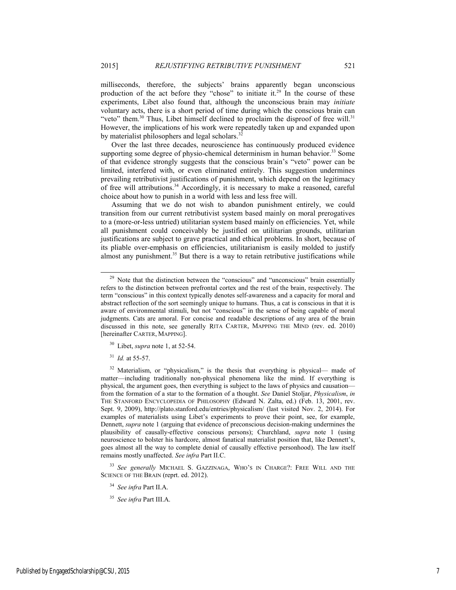milliseconds, therefore, the subjects' brains apparently began unconscious production of the act before they "chose" to initiate it.<sup>29</sup> In the course of these experiments, Libet also found that, although the unconscious brain may *initiate* voluntary acts, there is a short period of time during which the conscious brain can "veto" them.<sup>30</sup> Thus, Libet himself declined to proclaim the disproof of free will.<sup>31</sup> However, the implications of his work were repeatedly taken up and expanded upon by materialist philosophers and legal scholars.<sup>32</sup>

Over the last three decades, neuroscience has continuously produced evidence supporting some degree of physio-chemical determinism in human behavior.<sup>33</sup> Some of that evidence strongly suggests that the conscious brain's "veto" power can be limited, interfered with, or even eliminated entirely. This suggestion undermines prevailing retributivist justifications of punishment, which depend on the legitimacy of free will attributions.<sup>34</sup> Accordingly, it is necessary to make a reasoned, careful choice about how to punish in a world with less and less free will.

Assuming that we do not wish to abandon punishment entirely, we could transition from our current retributivist system based mainly on moral prerogatives to a (more-or-less untried) utilitarian system based mainly on efficiencies. Yet, while all punishment could conceivably be justified on utilitarian grounds, utilitarian justifications are subject to grave practical and ethical problems. In short, because of its pliable over-emphasis on efficiencies, utilitarianism is easily molded to justify almost any punishment.<sup>35</sup> But there is a way to retain retributive justifications while

<sup>31</sup> *Id.* at 55-57.

<sup>32</sup> Materialism, or "physicalism," is the thesis that everything is physical— made of matter—including traditionally non-physical phenomena like the mind. If everything is physical, the argument goes, then everything is subject to the laws of physics and causation from the formation of a star to the formation of a thought. *See* Daniel Stoljar, *Physicalism*, *in* THE STANFORD ENCYCLOPEDIA OF PHILOSOPHY (Edward N. Zalta, ed.) (Feb. 13, 2001, rev. Sept. 9, 2009), http://plato.stanford.edu/entries/physicalism/ (last visited Nov. 2, 2014). For examples of materialists using Libet's experiments to prove their point, see, for example, Dennett, *supra* note 1 (arguing that evidence of preconscious decision-making undermines the plausibility of causally-effective conscious persons); Churchland, *supra* note 1 (using neuroscience to bolster his hardcore, almost fanatical materialist position that, like Dennett's, goes almost all the way to complete denial of causally effective personhood). The law itself remains mostly unaffected. *See infra* Part II.C.

<sup>33</sup> *See generally* MICHAEL S. GAZZINAGA, WHO'S IN CHARGE?: FREE WILL AND THE SCIENCE OF THE BRAIN (reprt. ed. 2012).

 $29$  Note that the distinction between the "conscious" and "unconscious" brain essentially refers to the distinction between prefrontal cortex and the rest of the brain, respectively. The term "conscious" in this context typically denotes self-awareness and a capacity for moral and abstract reflection of the sort seemingly unique to humans. Thus, a cat is conscious in that it is aware of environmental stimuli, but not "conscious" in the sense of being capable of moral judgments. Cats are amoral. For concise and readable descriptions of any area of the brain discussed in this note, see generally RITA CARTER, MAPPING THE MIND (rev. ed. 2010) [hereinafter CARTER, MAPPING].

<sup>30</sup> Libet, *supra* note 1, at 52-54.

<sup>34</sup> *See infra* Part II.A.

<sup>35</sup> *See infra* Part III.A.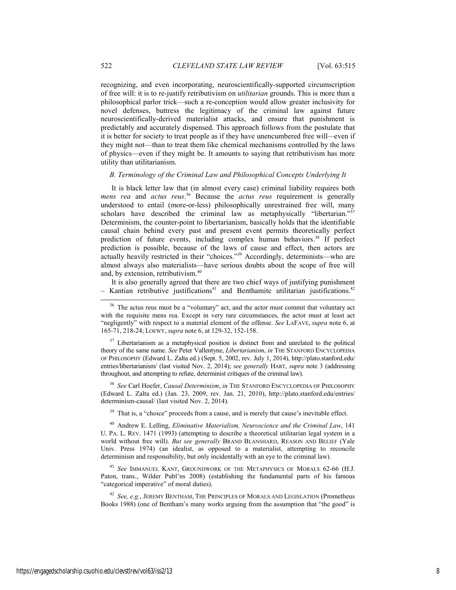recognizing, and even incorporating, neuroscientifically-supported circumscription of free will: it is to re-justify retributivism on *utilitarian* grounds. This is more than a philosophical parlor trick—such a re-conception would allow greater inclusivity for novel defenses, buttress the legitimacy of the criminal law against future neuroscientifically-derived materialist attacks, and ensure that punishment is predictably and accurately dispensed. This approach follows from the postulate that it is better for society to treat people as if they have unencumbered free will*—*even if they might not—than to treat them like chemical mechanisms controlled by the laws of physics—even if they might be. It amounts to saying that retributivism has more utility than utilitarianism.

#### *B. Terminology of the Criminal Law and Philosophical Concepts Underlying It*

It is black letter law that (in almost every case) criminal liability requires both *mens rea* and *actus reus*. 36 Because the *actus reus* requirement is generally understood to entail (more-or-less) philosophically unrestrained free will, many scholars have described the criminal law as metaphysically "libertarian."<sup>37</sup> Determinism, the counter-point to libertarianism, basically holds that the identifiable causal chain behind every past and present event permits theoretically perfect prediction of future events, including complex human behaviors.<sup>38</sup> If perfect prediction is possible, because of the laws of cause and effect, then actors are actually heavily restricted in their "choices.<sup>"39</sup> Accordingly, determinists—who are almost always also materialists—have serious doubts about the scope of free will and, by extension, retributivism.40

It is also generally agreed that there are two chief ways of justifying punishment  $-$  Kantian retributive justifications<sup>41</sup> and Benthamite utilitarian justifications.<sup>42</sup>

<sup>37</sup> Libertarianism as a metaphysical position is distinct from and unrelated to the political theory of the same name. *See* Peter Vallentyne, *Libertarianism*, *in* THE STANFORD ENCYCLOPEDIA OF PHILOSOPHY (Edward L. Zalta ed.) (Sept. 5, 2002, rev. July 1, 2014), http://plato.stanford.edu/ entries/libertarianism/ (last visited Nov. 2, 2014); *see generally* HART, *supra* note 3 (addressing throughout, and attempting to refute, determinist critiques of the criminal law).

<sup>38</sup> *See* Carl Hoefer, *Causal Determinism*, *in* THE STANFORD ENCYCLOPEDIA OF PHILOSOPHY (Edward L. Zalta ed.) (Jan. 23, 2009, rev. Jan. 21, 2010), http://plato.stanford.edu/entries/ determinism-causal/ (last visited Nov. 2, 2014).

 $39$  That is, a "choice" proceeds from a cause, and is merely that cause's inevitable effect.

40 Andrew E. Lelling, *Eliminative Materialism, Neuroscience and the Criminal Law*, 141 U. PA. L. REV. 1471 (1993) (attempting to describe a theoretical utilitarian legal system in a world without free will). *But see generally* BRAND BLANSHARD, REASON AND BELIEF (Yale Univ. Press 1974) (an idealist, as opposed to a materialist, attempting to reconcile determinism and responsibility, but only incidentally with an eye to the criminal law).

<sup>41</sup> *See* IMMANUEL KANT, GROUNDWORK OF THE METAPHYSICS OF MORALS 62-66 (H.J. Paton, trans., Wilder Publ'ns 2008) (establishing the fundamental parts of his famous "categorical imperative" of moral duties).

<sup>42</sup> *See, e.g.*, JEREMY BENTHAM, THE PRINCIPLES OF MORALS AND LEGISLATION (Prometheus Books 1988) (one of Bentham's many works arguing from the assumption that "the good" is

<sup>&</sup>lt;sup>36</sup> The actus reus must be a "voluntary" act, and the actor must commit that voluntary act with the requisite mens rea. Except in very rare circumstances, the actor must at least act "negligently" with respect to a material element of the offense. *See* LAFAVE, *supra* note 6, at 165-71, 218-24; LOEWY, *supra* note 6, at 129-32, 152-158.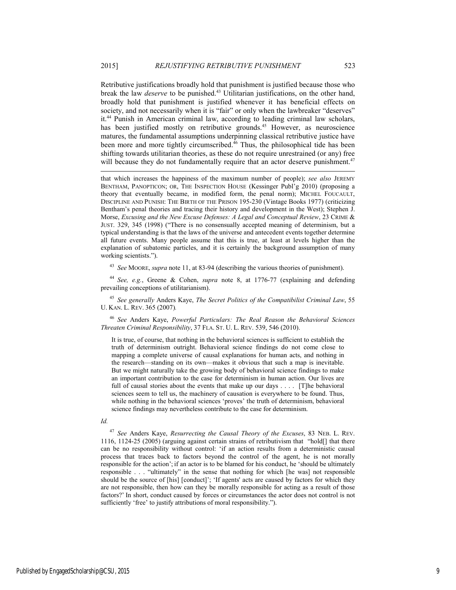Retributive justifications broadly hold that punishment is justified because those who break the law *deserve* to be punished.<sup>43</sup> Utilitarian justifications, on the other hand, broadly hold that punishment is justified whenever it has beneficial effects on society, and not necessarily when it is "fair" or only when the lawbreaker "deserves" it.44 Punish in American criminal law, according to leading criminal law scholars, has been justified mostly on retributive grounds.<sup>45</sup> However, as neuroscience matures, the fundamental assumptions underpinning classical retributive justice have been more and more tightly circumscribed.<sup>46</sup> Thus, the philosophical tide has been shifting towards utilitarian theories, as these do not require unrestrained (or any) free will because they do not fundamentally require that an actor deserve punishment.<sup>47</sup>

that which increases the happiness of the maximum number of people); *see also* JEREMY BENTHAM, PANOPTICON; OR, THE INSPECTION HOUSE (Kessinger Publ'g 2010) (proposing a theory that eventually became, in modified form, the penal norm); MICHEL FOUCAULT, DISCIPLINE AND PUNISH: THE BIRTH OF THE PRISON 195-230 (Vintage Books 1977) (criticizing Bentham's penal theories and tracing their history and development in the West); Stephen J. Morse, *Excusing and the New Excuse Defenses: A Legal and Conceptual Review*, 23 CRIME & JUST. 329, 345 (1998) ("There is no consensually accepted meaning of determinism, but a typical understanding is that the laws of the universe and antecedent events together determine all future events. Many people assume that this is true, at least at levels higher than the explanation of subatomic particles, and it is certainly the background assumption of many working scientists.").

<sup>43</sup> *See* MOORE, *supra* note 11, at 83-94 (describing the various theories of punishment).

<sup>44</sup> *See, e.g.*, Greene & Cohen, *supra* note 8, at 1776-77 (explaining and defending prevailing conceptions of utilitarianism).

<sup>45</sup> *See generally* Anders Kaye, *The Secret Politics of the Compatibilist Criminal Law*, 55 U. KAN. L. REV. 365 (2007)*.* 

<sup>46</sup> *See* Anders Kaye, *Powerful Particulars: The Real Reason the Behavioral Sciences Threaten Criminal Responsibility*, 37 FLA. ST. U. L. REV. 539, 546 (2010).

It is true, of course, that nothing in the behavioral sciences is sufficient to establish the truth of determinism outright. Behavioral science findings do not come close to mapping a complete universe of causal explanations for human acts, and nothing in the research—standing on its own—makes it obvious that such a map is inevitable. But we might naturally take the growing body of behavioral science findings to make an important contribution to the case for determinism in human action. Our lives are full of causal stories about the events that make up our days . . . . [T]he behavioral sciences seem to tell us, the machinery of causation is everywhere to be found. Thus, while nothing in the behavioral sciences 'proves' the truth of determinism, behavioral science findings may nevertheless contribute to the case for determinism.

#### *Id.*

l

<sup>47</sup> *See* Anders Kaye, *Resurrecting the Causal Theory of the Excuses*, 83 NEB. L. REV. 1116, 1124-25 (2005) (arguing against certain strains of retributivism that "hold[] that there can be no responsibility without control: 'if an action results from a deterministic causal process that traces back to factors beyond the control of the agent, he is not morally responsible for the action'; if an actor is to be blamed for his conduct, he 'should be ultimately responsible . . . "ultimately" in the sense that nothing for which [he was] not responsible should be the source of [his] [conduct]'; 'If agents' acts are caused by factors for which they are not responsible, then how can they be morally responsible for acting as a result of those factors?' In short, conduct caused by forces or circumstances the actor does not control is not sufficiently 'free' to justify attributions of moral responsibility.").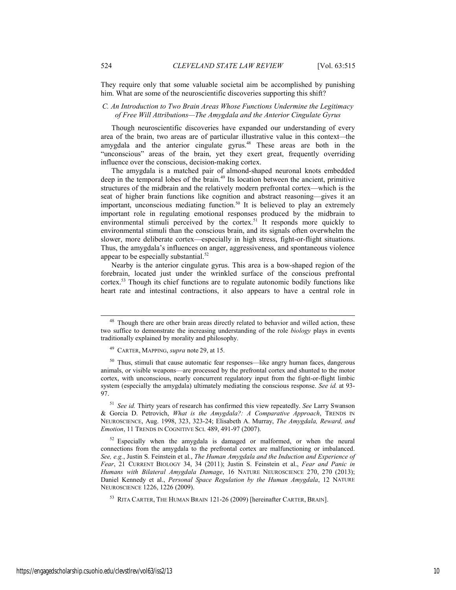They require only that some valuable societal aim be accomplished by punishing him. What are some of the neuroscientific discoveries supporting this shift?

#### *C. An Introduction to Two Brain Areas Whose Functions Undermine the Legitimacy of Free Will Attributions—The Amygdala and the Anterior Cingulate Gyrus*

Though neuroscientific discoveries have expanded our understanding of every area of the brain, two areas are of particular illustrative value in this context*—*the amygdala and the anterior cingulate gyrus.48 These areas are both in the "unconscious" areas of the brain, yet they exert great, frequently overriding influence over the conscious, decision-making cortex.

The amygdala is a matched pair of almond-shaped neuronal knots embedded deep in the temporal lobes of the brain.<sup>49</sup> Its location between the ancient, primitive structures of the midbrain and the relatively modern prefrontal cortex—which is the seat of higher brain functions like cognition and abstract reasoning—gives it an important, unconscious mediating function.<sup>50</sup> It is believed to play an extremely important role in regulating emotional responses produced by the midbrain to environmental stimuli perceived by the cortex.<sup>51</sup> It responds more quickly to environmental stimuli than the conscious brain, and its signals often overwhelm the slower, more deliberate cortex—especially in high stress, fight-or-flight situations. Thus, the amygdala's influences on anger, aggressiveness, and spontaneous violence appear to be especially substantial. $52$ 

Nearby is the anterior cingulate gyrus. This area is a bow-shaped region of the forebrain, located just under the wrinkled surface of the conscious prefrontal cortex.53 Though its chief functions are to regulate autonomic bodily functions like heart rate and intestinal contractions, it also appears to have a central role in

<sup>51</sup> *See id.* Thirty years of research has confirmed this view repeatedly. *See* Larry Swanson & Gorcia D. Petrovich, *What is the Amygdala?: A Comparative Approach*, TRENDS IN NEUROSCIENCE, Aug. 1998, 323, 323-24; Elisabeth A. Murray, *The Amygdala, Reward, and Emotion*, 11 TRENDS IN COGNITIVE SCI. 489, 491-97 (2007).

 $52$  Especially when the amygdala is damaged or malformed, or when the neural connections from the amygdala to the prefrontal cortex are malfunctioning or imbalanced. *See, e.g.*, Justin S. Feinstein et al*.*, *The Human Amygdala and the Induction and Experience of Fear*, 21 CURRENT BIOLOGY 34, 34 (2011); Justin S. Feinstein et al., *Fear and Panic in Humans with Bilateral Amygdala Damage*, 16 NATURE NEUROSCIENCE 270, 270 (2013); Daniel Kennedy et al., *Personal Space Regulation by the Human Amygdala*, 12 NATURE NEUROSCIENCE 1226, 1226 (2009).

53 RITA CARTER, THE HUMAN BRAIN 121-26 (2009) [hereinafter CARTER, BRAIN].

<sup>&</sup>lt;sup>48</sup> Though there are other brain areas directly related to behavior and willed action, these two suffice to demonstrate the increasing understanding of the role *biology* plays in events traditionally explained by morality and philosophy.

<sup>49</sup> CARTER, MAPPING, *supra* note 29, at 15.

<sup>50</sup> Thus, stimuli that cause automatic fear responses—like angry human faces, dangerous animals, or visible weapons—are processed by the prefrontal cortex and shunted to the motor cortex, with unconscious, nearly concurrent regulatory input from the fight-or-flight limbic system (especially the amygdala) ultimately mediating the conscious response. *See id.* at 93- 97.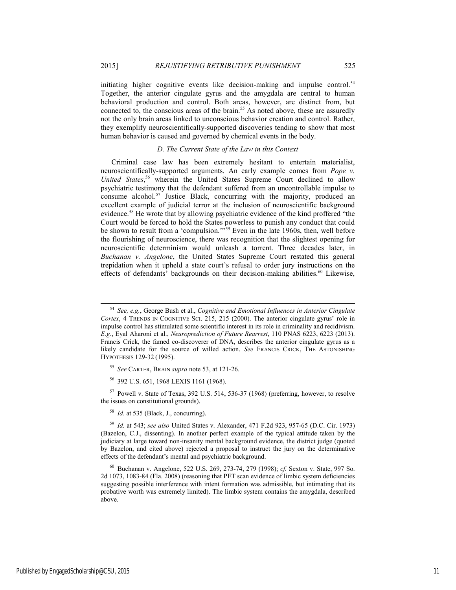2015] *REJUSTIFYING RETRIBUTIVE PUNISHMENT* 525

initiating higher cognitive events like decision-making and impulse control.<sup>54</sup> Together, the anterior cingulate gyrus and the amygdala are central to human behavioral production and control. Both areas, however, are distinct from, but connected to, the conscious areas of the brain.<sup>55</sup> As noted above, these are assuredly not the only brain areas linked to unconscious behavior creation and control. Rather, they exemplify neuroscientifically-supported discoveries tending to show that most human behavior is caused and governed by chemical events in the body.

#### *D. The Current State of the Law in this Context*

Criminal case law has been extremely hesitant to entertain materialist, neuroscientifically-supported arguments. An early example comes from *Pope v. United States*, 56 wherein the United States Supreme Court declined to allow psychiatric testimony that the defendant suffered from an uncontrollable impulse to consume alcohol.<sup>57</sup> Justice Black, concurring with the majority, produced an excellent example of judicial terror at the inclusion of neuroscientific background evidence.<sup>58</sup> He wrote that by allowing psychiatric evidence of the kind proffered "the Court would be forced to hold the States powerless to punish any conduct that could be shown to result from a 'compulsion.'"<sup>59</sup> Even in the late 1960s, then, well before the flourishing of neuroscience, there was recognition that the slightest opening for neuroscientific determinism would unleash a torrent. Three decades later, in *Buchanan v. Angelone*, the United States Supreme Court restated this general trepidation when it upheld a state court's refusal to order jury instructions on the effects of defendants' backgrounds on their decision-making abilities.<sup>60</sup> Likewise,

<sup>55</sup> *See* CARTER, BRAIN *supra* note 53, at 121-26.

56 392 U.S. 651, 1968 LEXIS 1161 (1968).

57 Powell v. State of Texas, 392 U.S. 514, 536-37 (1968) (preferring, however, to resolve the issues on constitutional grounds).

<sup>58</sup> *Id.* at 535 (Black, J., concurring).

<sup>59</sup> *Id.* at 543; *see also* United States v. Alexander, 471 F.2d 923, 957-65 (D.C. Cir. 1973) (Bazelon, C.J., dissenting). In another perfect example of the typical attitude taken by the judiciary at large toward non-insanity mental background evidence, the district judge (quoted by Bazelon, and cited above) rejected a proposal to instruct the jury on the determinative effects of the defendant's mental and psychiatric background.

60 Buchanan v. Angelone, 522 U.S. 269, 273-74, 279 (1998); *cf.* Sexton v. State, 997 So. 2d 1073, 1083-84 (Fla. 2008) (reasoning that PET scan evidence of limbic system deficiencies suggesting possible interference with intent formation was admissible, but intimating that its probative worth was extremely limited). The limbic system contains the amygdala, described above.

Published by EngagedScholarship@CSU, 2015 11

 <sup>54</sup> *See, e.g.*, George Bush et al., *Cognitive and Emotional Influences in Anterior Cingulate Cortex*, 4 TRENDS IN COGNITIVE SCI. 215, 215 (2000). The anterior cingulate gyrus' role in impulse control has stimulated some scientific interest in its role in criminality and recidivism. *E.g.*, Eyal Aharoni et al., *Neuroprediction of Future Rearrest*, 110 PNAS 6223, 6223 (2013). Francis Crick, the famed co-discoverer of DNA, describes the anterior cingulate gyrus as a likely candidate for the source of willed action. *See* FRANCIS CRICK, THE ASTONISHING HYPOTHESIS 129-32 (1995).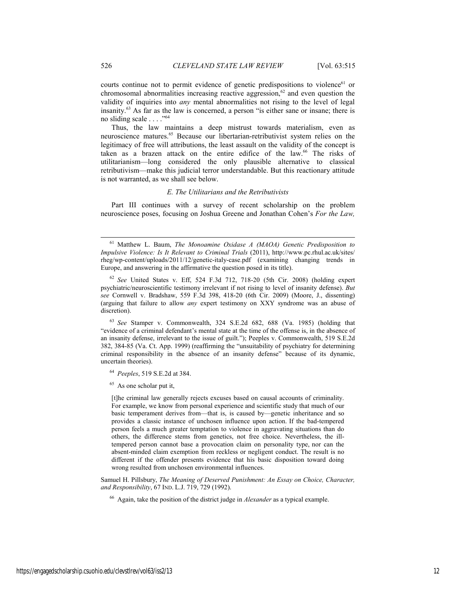courts continue not to permit evidence of genetic predispositions to violence<sup>61</sup> or chromosomal abnormalities increasing reactive aggression, $62$  and even question the validity of inquiries into *any* mental abnormalities not rising to the level of legal insanity.63 As far as the law is concerned, a person "is either sane or insane; there is no sliding scale . . . ."64

Thus, the law maintains a deep mistrust towards materialism, even as neuroscience matures.65 Because our libertarian-retributivist system relies on the legitimacy of free will attributions, the least assault on the validity of the concept is taken as a brazen attack on the entire edifice of the law.66 The risks of utilitarianism—long considered the only plausible alternative to classical retributivism—make this judicial terror understandable. But this reactionary attitude is not warranted, as we shall see below.

#### *E. The Utilitarians and the Retributivists*

Part III continues with a survey of recent scholarship on the problem neuroscience poses, focusing on Joshua Greene and Jonathan Cohen's *For the Law,* 

<sup>63</sup> *See* Stamper v. Commonwealth, 324 S.E.2d 682, 688 (Va. 1985) (holding that "evidence of a criminal defendant's mental state at the time of the offense is, in the absence of an insanity defense, irrelevant to the issue of guilt."); Peeples v. Commonwealth, 519 S.E.2d 382, 384-85 (Va. Ct. App. 1999) (reaffirming the "unsuitability of psychiatry for determining criminal responsibility in the absence of an insanity defense" because of its dynamic, uncertain theories).

<sup>64</sup> *Peeples*, 519 S.E.2d at 384.

<sup>65</sup> As one scholar put it,

[t]he criminal law generally rejects excuses based on causal accounts of criminality. For example, we know from personal experience and scientific study that much of our basic temperament derives from—that is, is caused by—genetic inheritance and so provides a classic instance of unchosen influence upon action. If the bad-tempered person feels a much greater temptation to violence in aggravating situations than do others, the difference stems from genetics, not free choice. Nevertheless, the illtempered person cannot base a provocation claim on personality type, nor can the absent-minded claim exemption from reckless or negligent conduct. The result is no different if the offender presents evidence that his basic disposition toward doing wrong resulted from unchosen environmental influences.

Samuel H. Pillsbury, *The Meaning of Deserved Punishment: An Essay on Choice, Character, and Responsibility*, 67 IND. L.J. 719, 729 (1992).

66 Again, take the position of the district judge in *Alexander* as a typical example.

 <sup>61</sup> Matthew L. Baum, *The Monoamine Oxidase A (MAOA) Genetic Predisposition to Impulsive Violence: Is It Relevant to Criminal Trials* (2011), http://www.pc.rhul.ac.uk/sites/ rheg/wp-content/uploads/2011/12/genetic-italy-case.pdf (examining changing trends in Europe, and answering in the affirmative the question posed in its title).

<sup>62</sup> *See* United States v. Eff, 524 F.3d 712, 718-20 (5th Cir. 2008) (holding expert psychiatric/neuroscientific testimony irrelevant if not rising to level of insanity defense). *But see* Cornwell v. Bradshaw, 559 F.3d 398, 418-20 (6th Cir. 2009) (Moore, J., dissenting) (arguing that failure to allow *any* expert testimony on XXY syndrome was an abuse of discretion).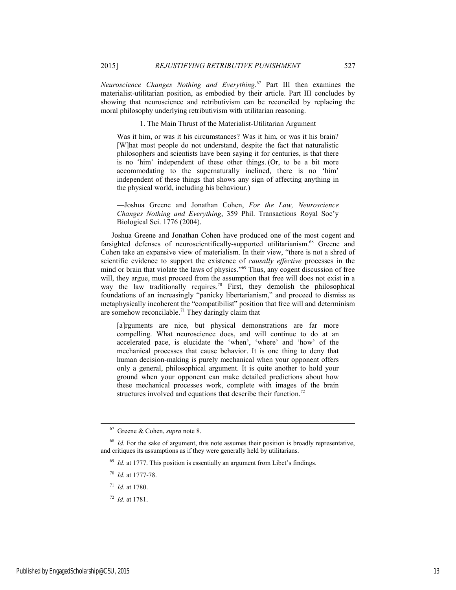*Neuroscience Changes Nothing and Everything*. 67 Part III then examines the materialist-utilitarian position, as embodied by their article. Part III concludes by showing that neuroscience and retributivism can be reconciled by replacing the moral philosophy underlying retributivism with utilitarian reasoning.

1. The Main Thrust of the Materialist-Utilitarian Argument

Was it him, or was it his circumstances? Was it him, or was it his brain? [W]hat most people do not understand, despite the fact that naturalistic philosophers and scientists have been saying it for centuries, is that there is no 'him' independent of these other things. (Or, to be a bit more accommodating to the supernaturally inclined, there is no 'him' independent of these things that shows any sign of affecting anything in the physical world, including his behaviour.)

—Joshua Greene and Jonathan Cohen, *For the Law, Neuroscience Changes Nothing and Everything*, 359 Phil. Transactions Royal Soc'y Biological Sci. 1776 (2004).

Joshua Greene and Jonathan Cohen have produced one of the most cogent and farsighted defenses of neuroscientifically-supported utilitarianism.<sup>68</sup> Greene and Cohen take an expansive view of materialism. In their view, "there is not a shred of scientific evidence to support the existence of *causally effective* processes in the mind or brain that violate the laws of physics."<sup>69</sup> Thus, any cogent discussion of free will, they argue, must proceed from the assumption that free will does not exist in a way the law traditionally requires.<sup>70</sup> First, they demolish the philosophical foundations of an increasingly "panicky libertarianism," and proceed to dismiss as metaphysically incoherent the "compatibilist" position that free will and determinism are somehow reconcilable.<sup>71</sup> They daringly claim that

[a]rguments are nice, but physical demonstrations are far more compelling. What neuroscience does, and will continue to do at an accelerated pace, is elucidate the 'when', 'where' and 'how' of the mechanical processes that cause behavior. It is one thing to deny that human decision-making is purely mechanical when your opponent offers only a general, philosophical argument. It is quite another to hold your ground when your opponent can make detailed predictions about how these mechanical processes work, complete with images of the brain structures involved and equations that describe their function.<sup>72</sup>

- <sup>71</sup> *Id.* at 1780.
- <sup>72</sup> *Id.* at 1781.

 <sup>67</sup> Greene & Cohen, *supra* note 8.

<sup>&</sup>lt;sup>68</sup> *Id.* For the sake of argument, this note assumes their position is broadly representative, and critiques its assumptions as if they were generally held by utilitarians.

<sup>&</sup>lt;sup>69</sup> *Id.* at 1777. This position is essentially an argument from Libet's findings.

<sup>70</sup> *Id.* at 1777-78.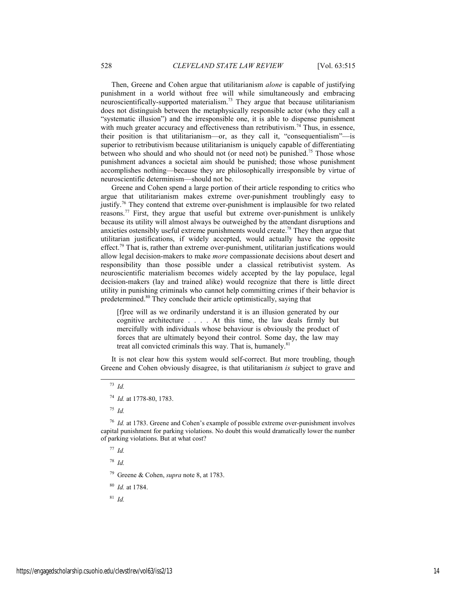Then, Greene and Cohen argue that utilitarianism *alone* is capable of justifying punishment in a world without free will while simultaneously and embracing neuroscientifically-supported materialism.73 They argue that because utilitarianism does not distinguish between the metaphysically responsible actor (who they call a "systematic illusion") and the irresponsible one, it is able to dispense punishment with much greater accuracy and effectiveness than retributivism.<sup>74</sup> Thus, in essence, their position is that utilitarianism—or, as they call it, "consequentialism"—is superior to retributivism because utilitarianism is uniquely capable of differentiating between who should and who should not (or need not) be punished.<sup>75</sup> Those whose punishment advances a societal aim should be punished; those whose punishment accomplishes nothing—because they are philosophically irresponsible by virtue of neuroscientific determinism—should not be.

Greene and Cohen spend a large portion of their article responding to critics who argue that utilitarianism makes extreme over-punishment troublingly easy to justify.76 They contend that extreme over-punishment is implausible for two related reasons.77 First, they argue that useful but extreme over-punishment is unlikely because its utility will almost always be outweighed by the attendant disruptions and anxieties ostensibly useful extreme punishments would create.78 They then argue that utilitarian justifications, if widely accepted, would actually have the opposite effect.<sup>79</sup> That is, rather than extreme over-punishment, utilitarian justifications would allow legal decision-makers to make *more* compassionate decisions about desert and responsibility than those possible under a classical retributivist system. As neuroscientific materialism becomes widely accepted by the lay populace, legal decision-makers (lay and trained alike) would recognize that there is little direct utility in punishing criminals who cannot help committing crimes if their behavior is predetermined.<sup>80</sup> They conclude their article optimistically, saying that

[f]ree will as we ordinarily understand it is an illusion generated by our cognitive architecture . . . . At this time, the law deals firmly but mercifully with individuals whose behaviour is obviously the product of forces that are ultimately beyond their control. Some day, the law may treat all convicted criminals this way. That is, humanely.<sup>81</sup>

It is not clear how this system would self-correct. But more troubling, though Greene and Cohen obviously disagree, is that utilitarianism *is* subject to grave and

## 73 *Id.*

<sup>75</sup> *Id.*

<sup>76</sup> *Id.* at 1783. Greene and Cohen's example of possible extreme over-punishment involves capital punishment for parking violations. No doubt this would dramatically lower the number of parking violations. But at what cost?

<sup>77</sup> *Id.*

<sup>78</sup> *Id.*

79 Greene & Cohen, *supra* note 8, at 1783.

<sup>80</sup> *Id.* at 1784.

<sup>81</sup> *Id.*

<sup>74</sup> *Id.* at 1778-80, 1783.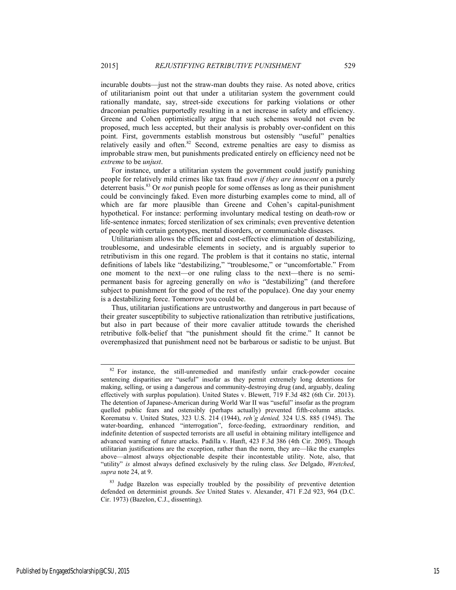incurable doubts—just not the straw-man doubts they raise. As noted above, critics of utilitarianism point out that under a utilitarian system the government could rationally mandate, say, street-side executions for parking violations or other draconian penalties purportedly resulting in a net increase in safety and efficiency. Greene and Cohen optimistically argue that such schemes would not even be proposed, much less accepted, but their analysis is probably over-confident on this point. First, governments establish monstrous but ostensibly "useful" penalties relatively easily and often.<sup>82</sup> Second, extreme penalties are easy to dismiss as improbable straw men, but punishments predicated entirely on efficiency need not be *extreme* to be *unjust*.

For instance, under a utilitarian system the government could justify punishing people for relatively mild crimes like tax fraud *even if they are innocent* on a purely deterrent basis.83 Or *not* punish people for some offenses as long as their punishment could be convincingly faked. Even more disturbing examples come to mind, all of which are far more plausible than Greene and Cohen's capital-punishment hypothetical. For instance: performing involuntary medical testing on death-row or life-sentence inmates; forced sterilization of sex criminals; even preventive detention of people with certain genotypes, mental disorders, or communicable diseases.

Utilitarianism allows the efficient and cost-effective elimination of destabilizing, troublesome, and undesirable elements in society, and is arguably superior to retributivism in this one regard. The problem is that it contains no static, internal definitions of labels like "destabilizing," "troublesome," or "uncomfortable." From one moment to the next—or one ruling class to the next—there is no semipermanent basis for agreeing generally on *who* is "destabilizing" (and therefore subject to punishment for the good of the rest of the populace). One day your enemy is a destabilizing force. Tomorrow you could be.

Thus, utilitarian justifications are untrustworthy and dangerous in part because of their greater susceptibility to subjective rationalization than retributive justifications, but also in part because of their more cavalier attitude towards the cherished retributive folk-belief that "the punishment should fit the crime." It cannot be overemphasized that punishment need not be barbarous or sadistic to be unjust. But

Published by EngagedScholarship@CSU, 2015 15

 $82$  For instance, the still-unremedied and manifestly unfair crack-powder cocaine sentencing disparities are "useful" insofar as they permit extremely long detentions for making, selling, or using a dangerous and community-destroying drug (and, arguably, dealing effectively with surplus population). United States v. Blewett, 719 F.3d 482 (6th Cir. 2013). The detention of Japanese-American during World War II was "useful" insofar as the program quelled public fears and ostensibly (perhaps actually) prevented fifth-column attacks. Korematsu v. United States, 323 U.S. 214 (1944), *reh'g denied,* 324 U.S. 885 (1945). The water-boarding, enhanced "interrogation", force-feeding, extraordinary rendition, and indefinite detention of suspected terrorists are all useful in obtaining military intelligence and advanced warning of future attacks. Padilla v. Hanft, 423 F.3d 386 (4th Cir. 2005). Though utilitarian justifications are the exception, rather than the norm, they are—like the examples above—almost always objectionable despite their incontestable utility. Note, also, that "utility" *is* almost always defined exclusively by the ruling class. *See* Delgado, *Wretched*, *supra* note 24, at 9.

<sup>&</sup>lt;sup>83</sup> Judge Bazelon was especially troubled by the possibility of preventive detention defended on determinist grounds. *See* United States v. Alexander, 471 F.2d 923, 964 (D.C. Cir. 1973) (Bazelon, C.J., dissenting).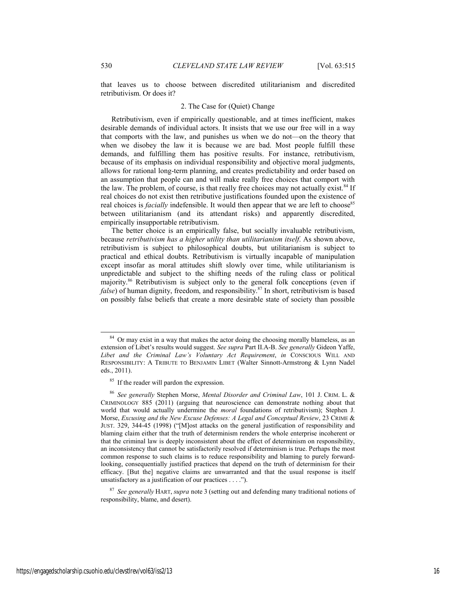that leaves us to choose between discredited utilitarianism and discredited retributivism. Or does it?

#### 2. The Case for (Quiet) Change

Retributivism, even if empirically questionable, and at times inefficient, makes desirable demands of individual actors. It insists that we use our free will in a way that comports with the law, and punishes us when we do not—on the theory that when we disobey the law it is because we are bad. Most people fulfill these demands, and fulfilling them has positive results. For instance, retributivism, because of its emphasis on individual responsibility and objective moral judgments, allows for rational long-term planning, and creates predictability and order based on an assumption that people can and will make really free choices that comport with the law. The problem, of course, is that really free choices may not actually exist.<sup>84</sup> If real choices do not exist then retributive justifications founded upon the existence of real choices is *facially* indefensible. It would then appear that we are left to choose<sup>85</sup> between utilitarianism (and its attendant risks) and apparently discredited, empirically insupportable retributivism.

The better choice is an empirically false, but socially invaluable retributivism, because *retributivism has a higher utility than utilitarianism itself*. As shown above, retributivism is subject to philosophical doubts, but utilitarianism is subject to practical and ethical doubts. Retributivism is virtually incapable of manipulation except insofar as moral attitudes shift slowly over time, while utilitarianism is unpredictable and subject to the shifting needs of the ruling class or political majority.86 Retributivism is subject only to the general folk conceptions (even if *false*) of human dignity, freedom, and responsibility.<sup>87</sup> In short, retributivism is based on possibly false beliefs that create a more desirable state of society than possible

<sup>&</sup>lt;sup>84</sup> Or may exist in a way that makes the actor doing the choosing morally blameless, as an extension of Libet's results would suggest. *See supra* Part II.A-B. *See generally* Gideon Yaffe, *Libet and the Criminal Law's Voluntary Act Requirement*, *in* CONSCIOUS WILL AND RESPONSIBILITY: A TRIBUTE TO BENJAMIN LIBET (Walter Sinnott-Armstrong & Lynn Nadel eds., 2011).

<sup>&</sup>lt;sup>85</sup> If the reader will pardon the expression.

<sup>86</sup> *See generally* Stephen Morse, *Mental Disorder and Criminal Law*, 101 J. CRIM. L. & CRIMINOLOGY 885 (2011) (arguing that neuroscience can demonstrate nothing about that world that would actually undermine the *moral* foundations of retributivism); Stephen J. Morse, *Excusing and the New Excuse Defenses: A Legal and Conceptual Review*, 23 CRIME & JUST. 329, 344-45 (1998) ("[M]ost attacks on the general justification of responsibility and blaming claim either that the truth of determinism renders the whole enterprise incoherent or that the criminal law is deeply inconsistent about the effect of determinism on responsibility, an inconsistency that cannot be satisfactorily resolved if determinism is true. Perhaps the most common response to such claims is to reduce responsibility and blaming to purely forwardlooking, consequentially justified practices that depend on the truth of determinism for their efficacy. [But the] negative claims are unwarranted and that the usual response is itself unsatisfactory as a justification of our practices . . . .").

<sup>87</sup> *See generally* HART, *supra* note 3 (setting out and defending many traditional notions of responsibility, blame, and desert).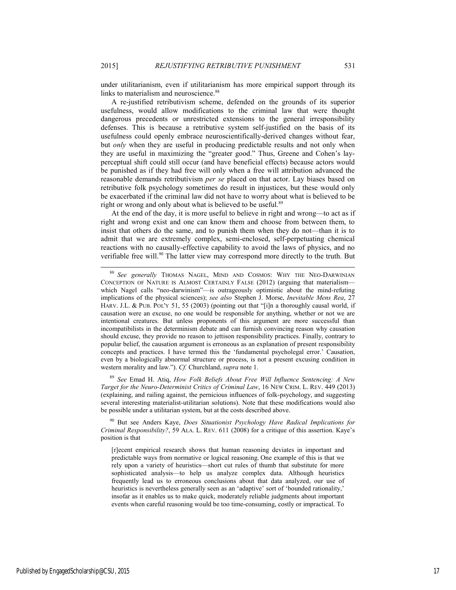under utilitarianism, even if utilitarianism has more empirical support through its links to materialism and neuroscience.<sup>88</sup>

A re-justified retributivism scheme, defended on the grounds of its superior usefulness, would allow modifications to the criminal law that were thought dangerous precedents or unrestricted extensions to the general irresponsibility defenses. This is because a retributive system self-justified on the basis of its usefulness could openly embrace neuroscientifically-derived changes without fear, but *only* when they are useful in producing predictable results and not only when they are useful in maximizing the "greater good." Thus, Greene and Cohen's layperceptual shift could still occur (and have beneficial effects) because actors would be punished as if they had free will only when a free will attribution advanced the reasonable demands retributivism *per se* placed on that actor. Lay biases based on retributive folk psychology sometimes do result in injustices, but these would only be exacerbated if the criminal law did not have to worry about what is believed to be right or wrong and only about what is believed to be useful.<sup>89</sup>

At the end of the day, it is more useful to believe in right and wrong—to act as if right and wrong exist and one can know them and choose from between them, to insist that others do the same, and to punish them when they do not—than it is to admit that we are extremely complex, semi-enclosed, self-perpetuating chemical reactions with no causally-effective capability to avoid the laws of physics, and no verifiable free will.<sup>90</sup> The latter view may correspond more directly to the truth. But

<sup>89</sup> *See* Emad H. Atiq, *How Folk Beliefs About Free Will Influence Sentencing: A New Target for the Neuro-Determinist Critics of Criminal Law*, 16 NEW CRIM. L. REV. 449 (2013) (explaining, and railing against, the pernicious influences of folk-psychology, and suggesting several interesting materialist-utilitarian solutions). Note that these modifications would also be possible under a utilitarian system, but at the costs described above.

90 But see Anders Kaye, *Does Situationist Psychology Have Radical Implications for Criminal Responsibility?*, 59 ALA. L. REV. 611 (2008) for a critique of this assertion. Kaye's position is that

[r]ecent empirical research shows that human reasoning deviates in important and predictable ways from normative or logical reasoning. One example of this is that we rely upon a variety of heuristics—short cut rules of thumb that substitute for more sophisticated analysis—to help us analyze complex data. Although heuristics frequently lead us to erroneous conclusions about that data analyzed, our use of heuristics is nevertheless generally seen as an 'adaptive' sort of 'bounded rationality,' insofar as it enables us to make quick, moderately reliable judgments about important events when careful reasoning would be too time-consuming, costly or impractical. To

 <sup>88</sup> *See generally* THOMAS NAGEL, MIND AND COSMOS: WHY THE NEO-DARWINIAN CONCEPTION OF NATURE IS ALMOST CERTAINLY FALSE (2012) (arguing that materialism which Nagel calls "neo-darwinism"—is outrageously optimistic about the mind-refuting implications of the physical sciences); *see also* Stephen J. Morse, *Inevitable Mens Rea*, 27 HARV. J.L. & PUB. POL'Y 51, 55 (2003) (pointing out that "[i]n a thoroughly causal world, if causation were an excuse, no one would be responsible for anything, whether or not we are intentional creatures. But unless proponents of this argument are more successful than incompatibilists in the determinism debate and can furnish convincing reason why causation should excuse, they provide no reason to jettison responsibility practices. Finally, contrary to popular belief, the causation argument is erroneous as an explanation of present responsibility concepts and practices. I have termed this the 'fundamental psycholegal error.' Causation, even by a biologically abnormal structure or process, is not a present excusing condition in western morality and law."). *Cf.* Churchland, *supra* note 1.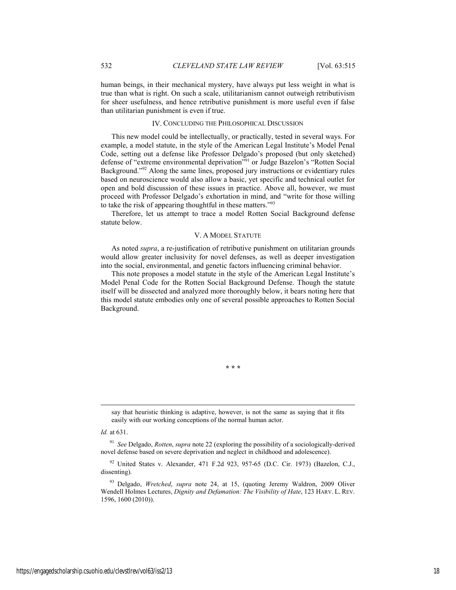human beings, in their mechanical mystery, have always put less weight in what is true than what is right. On such a scale, utilitarianism cannot outweigh retributivism for sheer usefulness, and hence retributive punishment is more useful even if false than utilitarian punishment is even if true.

#### IV. CONCLUDING THE PHILOSOPHICAL DISCUSSION

This new model could be intellectually, or practically, tested in several ways. For example, a model statute, in the style of the American Legal Institute's Model Penal Code, setting out a defense like Professor Delgado's proposed (but only sketched) defense of "extreme environmental deprivation"<sup>91</sup> or Judge Bazelon's "Rotten Social Background."92 Along the same lines, proposed jury instructions or evidentiary rules based on neuroscience would also allow a basic, yet specific and technical outlet for open and bold discussion of these issues in practice. Above all, however, we must proceed with Professor Delgado's exhortation in mind, and "write for those willing to take the risk of appearing thoughtful in these matters."93

Therefore, let us attempt to trace a model Rotten Social Background defense statute below.

#### V. A MODEL STATUTE

As noted *supra*, a re-justification of retributive punishment on utilitarian grounds would allow greater inclusivity for novel defenses, as well as deeper investigation into the social, environmental, and genetic factors influencing criminal behavior.

This note proposes a model statute in the style of the American Legal Institute's Model Penal Code for the Rotten Social Background Defense. Though the statute itself will be dissected and analyzed more thoroughly below, it bears noting here that this model statute embodies only one of several possible approaches to Rotten Social Background.

say that heuristic thinking is adaptive, however, is not the same as saying that it fits easily with our working conceptions of the normal human actor.

**\* \* \*** 

*Id.* at 631.

l

<sup>91</sup> *See* Delgado, *Rotten*, *supra* note 22 (exploring the possibility of a sociologically-derived novel defense based on severe deprivation and neglect in childhood and adolescence).

92 United States v. Alexander, 471 F.2d 923, 957-65 (D.C. Cir. 1973) (Bazelon, C.J., dissenting).

93 Delgado, *Wretched*, *supra* note 24, at 15, (quoting Jeremy Waldron, 2009 Oliver Wendell Holmes Lectures, *Dignity and Defamation: The Visibility of Hate*, 123 HARV. L. REV. 1596, 1600 (2010)).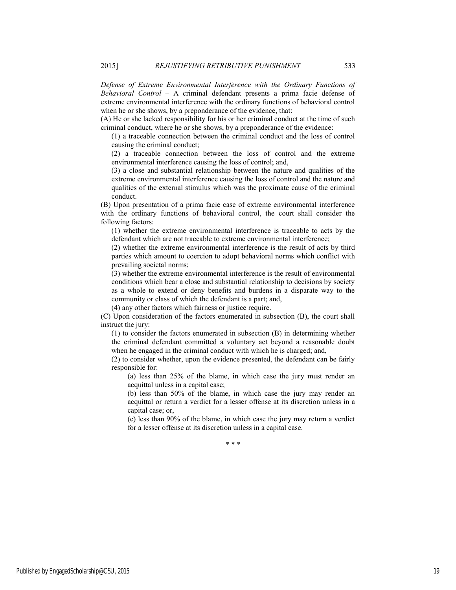*Defense of Extreme Environmental Interference with the Ordinary Functions of Behavioral Control* – A criminal defendant presents a prima facie defense of extreme environmental interference with the ordinary functions of behavioral control when he or she shows, by a preponderance of the evidence, that:

(A) He or she lacked responsibility for his or her criminal conduct at the time of such criminal conduct, where he or she shows, by a preponderance of the evidence:

(1) a traceable connection between the criminal conduct and the loss of control causing the criminal conduct;

(2) a traceable connection between the loss of control and the extreme environmental interference causing the loss of control; and,

(3) a close and substantial relationship between the nature and qualities of the extreme environmental interference causing the loss of control and the nature and qualities of the external stimulus which was the proximate cause of the criminal conduct.

(B) Upon presentation of a prima facie case of extreme environmental interference with the ordinary functions of behavioral control, the court shall consider the following factors:

(1) whether the extreme environmental interference is traceable to acts by the defendant which are not traceable to extreme environmental interference;

(2) whether the extreme environmental interference is the result of acts by third parties which amount to coercion to adopt behavioral norms which conflict with prevailing societal norms;

(3) whether the extreme environmental interference is the result of environmental conditions which bear a close and substantial relationship to decisions by society as a whole to extend or deny benefits and burdens in a disparate way to the community or class of which the defendant is a part; and,

(4) any other factors which fairness or justice require.

(C) Upon consideration of the factors enumerated in subsection (B), the court shall instruct the jury:

(1) to consider the factors enumerated in subsection (B) in determining whether the criminal defendant committed a voluntary act beyond a reasonable doubt when he engaged in the criminal conduct with which he is charged; and,

(2) to consider whether, upon the evidence presented, the defendant can be fairly responsible for:

(a) less than 25% of the blame, in which case the jury must render an acquittal unless in a capital case;

(b) less than 50% of the blame, in which case the jury may render an acquittal or return a verdict for a lesser offense at its discretion unless in a capital case; or,

(c) less than 90% of the blame, in which case the jury may return a verdict for a lesser offense at its discretion unless in a capital case.

\* \* \*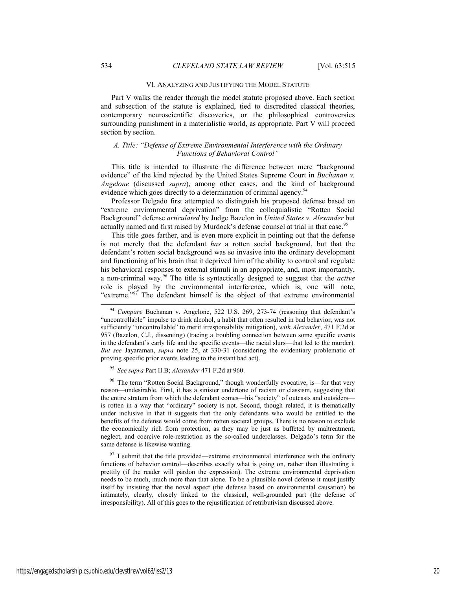#### VI. ANALYZING AND JUSTIFYING THE MODEL STATUTE

Part V walks the reader through the model statute proposed above. Each section and subsection of the statute is explained, tied to discredited classical theories, contemporary neuroscientific discoveries, or the philosophical controversies surrounding punishment in a materialistic world, as appropriate. Part V will proceed section by section.

#### *A. Title: "Defense of Extreme Environmental Interference with the Ordinary Functions of Behavioral Control"*

This title is intended to illustrate the difference between mere "background evidence" of the kind rejected by the United States Supreme Court in *Buchanan v. Angelone* (discussed *supra*), among other cases, and the kind of background evidence which goes directly to a determination of criminal agency.<sup>94</sup>

Professor Delgado first attempted to distinguish his proposed defense based on "extreme environmental deprivation" from the colloquialistic "Rotten Social Background" defense *articulated* by Judge Bazelon in *United States v. Alexander* but actually named and first raised by Murdock's defense counsel at trial in that case.<sup>95</sup>

This title goes farther, and is even more explicit in pointing out that the defense is not merely that the defendant *has* a rotten social background, but that the defendant's rotten social background was so invasive into the ordinary development and functioning of his brain that it deprived him of the ability to control and regulate his behavioral responses to external stimuli in an appropriate, and, most importantly, a non-criminal way.96 The title is syntactically designed to suggest that the *active* role is played by the environmental interference, which is, one will note, "extreme."<sup>97</sup> The defendant himself is the object of that extreme environmental

<sup>95</sup> *See supra* Part II.B; *Alexander* 471 F.2d at 960.

The term "Rotten Social Background," though wonderfully evocative, is-for that very reason—undesirable. First, it has a sinister undertone of racism or classism, suggesting that the entire stratum from which the defendant comes—his "society" of outcasts and outsiders is rotten in a way that "ordinary" society is not. Second, though related, it is thematically under inclusive in that it suggests that the only defendants who would be entitled to the benefits of the defense would come from rotten societal groups. There is no reason to exclude the economically rich from protection, as they may be just as buffeted by maltreatment, neglect, and coercive role-restriction as the so-called underclasses. Delgado's term for the same defense is likewise wanting.

 $97$  I submit that the title provided—extreme environmental interference with the ordinary functions of behavior control—describes exactly what is going on, rather than illustrating it prettily (if the reader will pardon the expression). The extreme environmental deprivation needs to be much, much more than that alone. To be a plausible novel defense it must justify itself by insisting that the novel aspect (the defense based on environmental causation) be intimately, clearly, closely linked to the classical, well-grounded part (the defense of irresponsibility). All of this goes to the rejustification of retributivism discussed above.

Compare Buchanan v. Angelone, 522 U.S. 269, 273-74 (reasoning that defendant's "uncontrollable" impulse to drink alcohol, a habit that often resulted in bad behavior, was not sufficiently "uncontrollable" to merit irresponsibility mitigation), *with Alexander*, 471 F.2d at 957 (Bazelon, C.J., dissenting) (tracing a troubling connection between some specific events in the defendant's early life and the specific events—the racial slurs—that led to the murder). *But see* Jayaraman, *supra* note 25, at 330-31 (considering the evidentiary problematic of proving specific prior events leading to the instant bad act).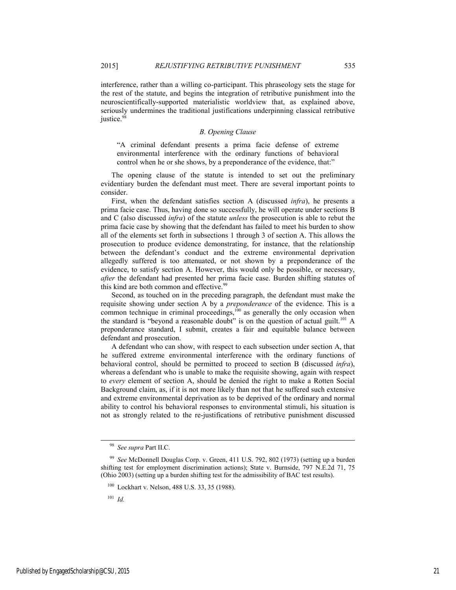justice. $98$ 

interference, rather than a willing co-participant. This phraseology sets the stage for the rest of the statute, and begins the integration of retributive punishment into the neuroscientifically-supported materialistic worldview that, as explained above,

#### *B. Opening Clause*

seriously undermines the traditional justifications underpinning classical retributive

"A criminal defendant presents a prima facie defense of extreme environmental interference with the ordinary functions of behavioral control when he or she shows, by a preponderance of the evidence, that:"

The opening clause of the statute is intended to set out the preliminary evidentiary burden the defendant must meet. There are several important points to consider.

First, when the defendant satisfies section A (discussed *infra*), he presents a prima facie case. Thus, having done so successfully, he will operate under sections B and C (also discussed *infra*) of the statute *unless* the prosecution is able to rebut the prima facie case by showing that the defendant has failed to meet his burden to show all of the elements set forth in subsections 1 through 3 of section A. This allows the prosecution to produce evidence demonstrating, for instance, that the relationship between the defendant's conduct and the extreme environmental deprivation allegedly suffered is too attenuated, or not shown by a preponderance of the evidence, to satisfy section A. However, this would only be possible, or necessary, *after* the defendant had presented her prima facie case. Burden shifting statutes of this kind are both common and effective.<sup>99</sup>

Second, as touched on in the preceding paragraph, the defendant must make the requisite showing under section A by a *preponderance* of the evidence. This is a common technique in criminal proceedings, $100$  as generally the only occasion when the standard is "beyond a reasonable doubt" is on the question of actual guilt.<sup>101</sup> A preponderance standard, I submit, creates a fair and equitable balance between defendant and prosecution.

A defendant who can show, with respect to each subsection under section A, that he suffered extreme environmental interference with the ordinary functions of behavioral control, should be permitted to proceed to section B (discussed *infra*), whereas a defendant who is unable to make the requisite showing, again with respect to *every* element of section A, should be denied the right to make a Rotten Social Background claim, as, if it is not more likely than not that he suffered such extensive and extreme environmental deprivation as to be deprived of the ordinary and normal ability to control his behavioral responses to environmental stimuli, his situation is not as strongly related to the re-justifications of retributive punishment discussed

<sup>101</sup> *Id.* 

 <sup>98</sup> *See supra* Part II.C.

<sup>99</sup> *See* McDonnell Douglas Corp. v. Green, 411 U.S. 792, 802 (1973) (setting up a burden shifting test for employment discrimination actions); State v. Burnside, 797 N.E.2d 71, 75 (Ohio 2003) (setting up a burden shifting test for the admissibility of BAC test results).

<sup>100</sup> Lockhart v. Nelson, 488 U.S. 33, 35 (1988).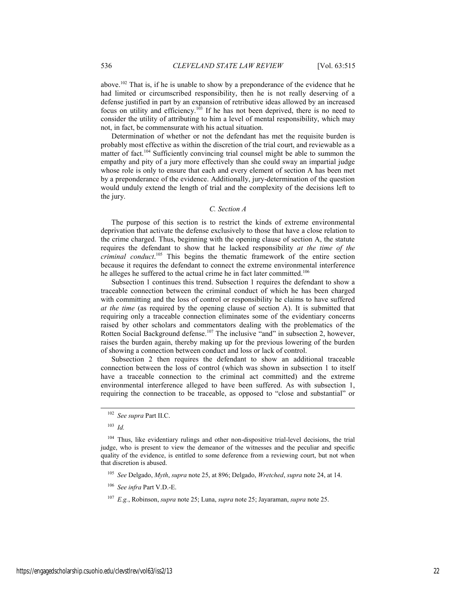above.102 That is, if he is unable to show by a preponderance of the evidence that he had limited or circumscribed responsibility, then he is not really deserving of a defense justified in part by an expansion of retributive ideas allowed by an increased focus on utility and efficiency.<sup>103</sup> If he has not been deprived, there is no need to consider the utility of attributing to him a level of mental responsibility, which may not, in fact, be commensurate with his actual situation.

Determination of whether or not the defendant has met the requisite burden is probably most effective as within the discretion of the trial court, and reviewable as a matter of fact.<sup>104</sup> Sufficiently convincing trial counsel might be able to summon the empathy and pity of a jury more effectively than she could sway an impartial judge whose role is only to ensure that each and every element of section A has been met by a preponderance of the evidence. Additionally, jury-determination of the question would unduly extend the length of trial and the complexity of the decisions left to the jury.

#### *C. Section A*

The purpose of this section is to restrict the kinds of extreme environmental deprivation that activate the defense exclusively to those that have a close relation to the crime charged. Thus, beginning with the opening clause of section A, the statute requires the defendant to show that he lacked responsibility *at the time of the criminal conduct*. 105 This begins the thematic framework of the entire section because it requires the defendant to connect the extreme environmental interference he alleges he suffered to the actual crime he in fact later committed.<sup>106</sup>

Subsection 1 continues this trend. Subsection 1 requires the defendant to show a traceable connection between the criminal conduct of which he has been charged with committing and the loss of control or responsibility he claims to have suffered *at the time* (as required by the opening clause of section A). It is submitted that requiring only a traceable connection eliminates some of the evidentiary concerns raised by other scholars and commentators dealing with the problematics of the Rotten Social Background defense.<sup>107</sup> The inclusive "and" in subsection 2, however, raises the burden again, thereby making up for the previous lowering of the burden of showing a connection between conduct and loss or lack of control.

Subsection 2 then requires the defendant to show an additional traceable connection between the loss of control (which was shown in subsection 1 to itself have a traceable connection to the criminal act committed) and the extreme environmental interference alleged to have been suffered. As with subsection 1, requiring the connection to be traceable, as opposed to "close and substantial" or

<sup>103</sup> *Id.*

 <sup>102</sup> *See supra* Part II.C.

<sup>&</sup>lt;sup>104</sup> Thus, like evidentiary rulings and other non-dispositive trial-level decisions, the trial judge, who is present to view the demeanor of the witnesses and the peculiar and specific quality of the evidence, is entitled to some deference from a reviewing court, but not when that discretion is abused.

<sup>105</sup> *See* Delgado, *Myth*, *supra* note 25, at 896; Delgado, *Wretched*, *supra* note 24, at 14.

<sup>106</sup> *See infra* Part V.D.-E.

<sup>107</sup> *E.g.*, Robinson, *supra* note 25; Luna, *supra* note 25; Jayaraman, *supra* note 25.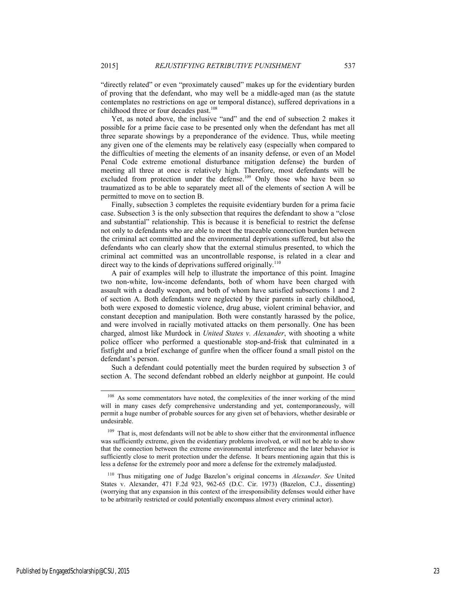"directly related" or even "proximately caused" makes up for the evidentiary burden of proving that the defendant, who may well be a middle-aged man (as the statute contemplates no restrictions on age or temporal distance), suffered deprivations in a childhood three or four decades past.<sup>108</sup>

Yet, as noted above, the inclusive "and" and the end of subsection 2 makes it possible for a prime facie case to be presented only when the defendant has met all three separate showings by a preponderance of the evidence. Thus, while meeting any given one of the elements may be relatively easy (especially when compared to the difficulties of meeting the elements of an insanity defense, or even of an Model Penal Code extreme emotional disturbance mitigation defense) the burden of meeting all three at once is relatively high. Therefore, most defendants will be excluded from protection under the defense.<sup>109</sup> Only those who have been so traumatized as to be able to separately meet all of the elements of section A will be permitted to move on to section B.

Finally, subsection 3 completes the requisite evidentiary burden for a prima facie case. Subsection 3 is the only subsection that requires the defendant to show a "close and substantial" relationship. This is because it is beneficial to restrict the defense not only to defendants who are able to meet the traceable connection burden between the criminal act committed and the environmental deprivations suffered, but also the defendants who can clearly show that the external stimulus presented, to which the criminal act committed was an uncontrollable response, is related in a clear and direct way to the kinds of deprivations suffered originally.<sup>110</sup>

A pair of examples will help to illustrate the importance of this point. Imagine two non-white, low-income defendants, both of whom have been charged with assault with a deadly weapon, and both of whom have satisfied subsections 1 and 2 of section A. Both defendants were neglected by their parents in early childhood, both were exposed to domestic violence, drug abuse, violent criminal behavior, and constant deception and manipulation. Both were constantly harassed by the police, and were involved in racially motivated attacks on them personally. One has been charged, almost like Murdock in *United States v. Alexander*, with shooting a white police officer who performed a questionable stop-and-frisk that culminated in a fistfight and a brief exchange of gunfire when the officer found a small pistol on the defendant's person.

Such a defendant could potentially meet the burden required by subsection 3 of section A. The second defendant robbed an elderly neighbor at gunpoint. He could

<sup>&</sup>lt;sup>108</sup> As some commentators have noted, the complexities of the inner working of the mind will in many cases defy comprehensive understanding and yet, contemporaneously, will permit a huge number of probable sources for any given set of behaviors, whether desirable or undesirable.

<sup>&</sup>lt;sup>109</sup> That is, most defendants will not be able to show either that the environmental influence was sufficiently extreme, given the evidentiary problems involved, or will not be able to show that the connection between the extreme environmental interference and the later behavior is sufficiently close to merit protection under the defense. It bears mentioning again that this is less a defense for the extremely poor and more a defense for the extremely maladjusted.

<sup>110</sup> Thus mitigating one of Judge Bazelon's original concerns in *Alexander*. *See* United States v. Alexander, 471 F.2d 923, 962-65 (D.C. Cir. 1973) (Bazelon, C.J., dissenting) (worrying that any expansion in this context of the irresponsibility defenses would either have to be arbitrarily restricted or could potentially encompass almost every criminal actor).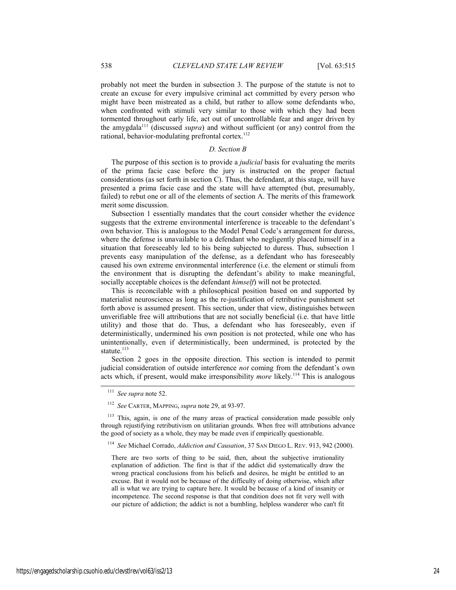probably not meet the burden in subsection 3. The purpose of the statute is not to create an excuse for every impulsive criminal act committed by every person who might have been mistreated as a child, but rather to allow some defendants who, when confronted with stimuli very similar to those with which they had been tormented throughout early life, act out of uncontrollable fear and anger driven by the amygdala111 (discussed *supra*) and without sufficient (or any) control from the rational, behavior-modulating prefrontal cortex.<sup>112</sup>

#### *D. Section B*

The purpose of this section is to provide a *judicial* basis for evaluating the merits of the prima facie case before the jury is instructed on the proper factual considerations (as set forth in section C). Thus, the defendant, at this stage, will have presented a prima facie case and the state will have attempted (but, presumably, failed) to rebut one or all of the elements of section A. The merits of this framework merit some discussion.

Subsection 1 essentially mandates that the court consider whether the evidence suggests that the extreme environmental interference is traceable to the defendant's own behavior. This is analogous to the Model Penal Code's arrangement for duress, where the defense is unavailable to a defendant who negligently placed himself in a situation that foreseeably led to his being subjected to duress. Thus, subsection 1 prevents easy manipulation of the defense, as a defendant who has foreseeably caused his own extreme environmental interference (i.e. the element or stimuli from the environment that is disrupting the defendant's ability to make meaningful, socially acceptable choices is the defendant *himself*) will not be protected.

This is reconcilable with a philosophical position based on and supported by materialist neuroscience as long as the re-justification of retributive punishment set forth above is assumed present. This section, under that view, distinguishes between unverifiable free will attributions that are not socially beneficial (i.e. that have little utility) and those that do. Thus, a defendant who has foreseeably, even if deterministically, undermined his own position is not protected, while one who has unintentionally, even if deterministically, been undermined, is protected by the statute.<sup>113</sup>

Section 2 goes in the opposite direction. This section is intended to permit judicial consideration of outside interference *not* coming from the defendant's own acts which, if present, would make irresponsibility *more* likely.114 This is analogous

 <sup>111</sup> *See supra* note 52.

<sup>112</sup> *See* CARTER, MAPPING, *supra* note 29, at 93-97.

<sup>&</sup>lt;sup>113</sup> This, again, is one of the many areas of practical consideration made possible only through rejustifying retributivism on utilitarian grounds. When free will attributions advance the good of society as a whole, they may be made even if empirically questionable.

<sup>114</sup> *See* Michael Corrado, *Addiction and Causation*, 37 SAN DIEGO L. REV. 913, 942 (2000).

There are two sorts of thing to be said, then, about the subjective irrationality explanation of addiction. The first is that if the addict did systematically draw the wrong practical conclusions from his beliefs and desires, he might be entitled to an excuse. But it would not be because of the difficulty of doing otherwise, which after all is what we are trying to capture here. It would be because of a kind of insanity or incompetence. The second response is that that condition does not fit very well with our picture of addiction; the addict is not a bumbling, helpless wanderer who can't fit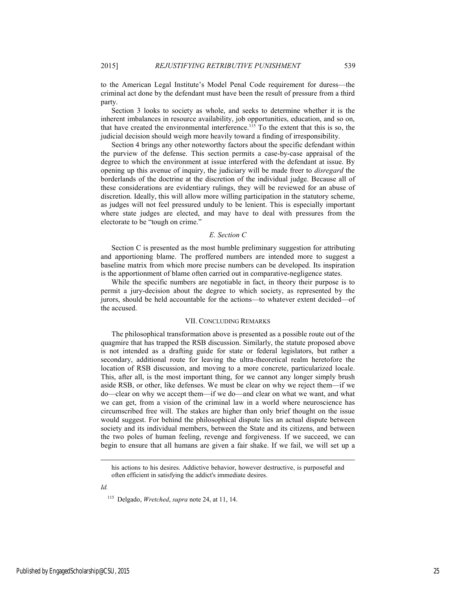to the American Legal Institute's Model Penal Code requirement for duress—the criminal act done by the defendant must have been the result of pressure from a third party.

Section 3 looks to society as whole, and seeks to determine whether it is the inherent imbalances in resource availability, job opportunities, education, and so on, that have created the environmental interference.<sup>115</sup> To the extent that this is so, the judicial decision should weigh more heavily toward a finding of irresponsibility.

Section 4 brings any other noteworthy factors about the specific defendant within the purview of the defense. This section permits a case-by-case appraisal of the degree to which the environment at issue interfered with the defendant at issue. By opening up this avenue of inquiry, the judiciary will be made freer to *disregard* the borderlands of the doctrine at the discretion of the individual judge. Because all of these considerations are evidentiary rulings, they will be reviewed for an abuse of discretion. Ideally, this will allow more willing participation in the statutory scheme, as judges will not feel pressured unduly to be lenient. This is especially important where state judges are elected, and may have to deal with pressures from the electorate to be "tough on crime."

#### *E. Section C*

Section C is presented as the most humble preliminary suggestion for attributing and apportioning blame. The proffered numbers are intended more to suggest a baseline matrix from which more precise numbers can be developed. Its inspiration is the apportionment of blame often carried out in comparative-negligence states.

While the specific numbers are negotiable in fact, in theory their purpose is to permit a jury-decision about the degree to which society, as represented by the jurors, should be held accountable for the actions—to whatever extent decided—of the accused.

#### VII. CONCLUDING REMARKS

The philosophical transformation above is presented as a possible route out of the quagmire that has trapped the RSB discussion. Similarly, the statute proposed above is not intended as a drafting guide for state or federal legislators, but rather a secondary, additional route for leaving the ultra-theoretical realm heretofore the location of RSB discussion, and moving to a more concrete, particularized locale. This, after all, is the most important thing, for we cannot any longer simply brush aside RSB, or other, like defenses. We must be clear on why we reject them—if we do—clear on why we accept them—if we do—and clear on what we want, and what we can get, from a vision of the criminal law in a world where neuroscience has circumscribed free will. The stakes are higher than only brief thought on the issue would suggest. For behind the philosophical dispute lies an actual dispute between society and its individual members, between the State and its citizens, and between the two poles of human feeling, revenge and forgiveness. If we succeed, we can begin to ensure that all humans are given a fair shake. If we fail, we will set up a

*Id.* 

l

his actions to his desires. Addictive behavior, however destructive, is purposeful and often efficient in satisfying the addict's immediate desires.

<sup>115</sup> Delgado, *Wretched*, *supra* note 24, at 11, 14.